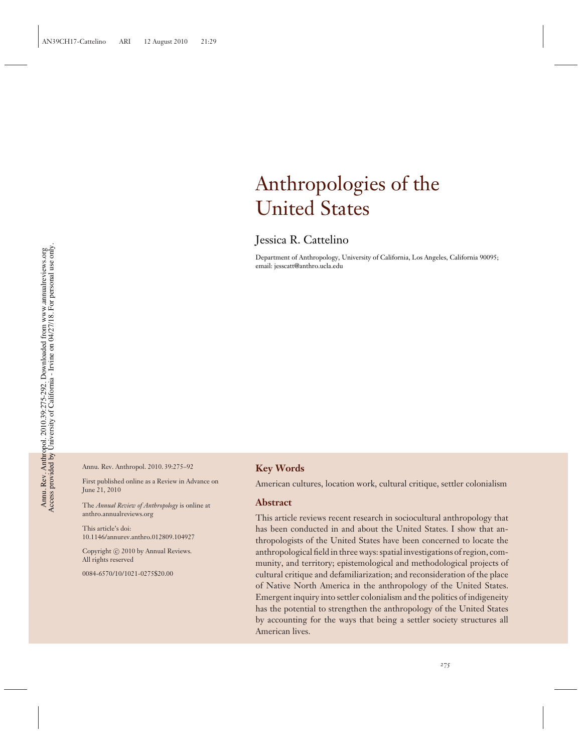# Anthropologies of the United States

Jessica R. Cattelino

Department of Anthropology, University of California, Los Angeles, California 90095; email: jesscatt@anthro.ucla.edu

Annu. Rev. Anthropol. 2010. 39:275–92

First published online as a Review in Advance on June 21, 2010

The *Annual Review of Anthropology* is online at anthro.annualreviews.org

This article's doi: 10.1146/annurev.anthro.012809.104927

Copyright  $\odot$  2010 by Annual Reviews. All rights reserved

0084-6570/10/1021-0275\$20.00

### **Key Words**

American cultures, location work, cultural critique, settler colonialism

#### **Abstract**

This article reviews recent research in sociocultural anthropology that has been conducted in and about the United States. I show that anthropologists of the United States have been concerned to locate the anthropological field in three ways: spatial investigations of region, community, and territory; epistemological and methodological projects of cultural critique and defamiliarization; and reconsideration of the place of Native North America in the anthropology of the United States. Emergent inquiry into settler colonialism and the politics of indigeneity has the potential to strengthen the anthropology of the United States by accounting for the ways that being a settler society structures all American lives.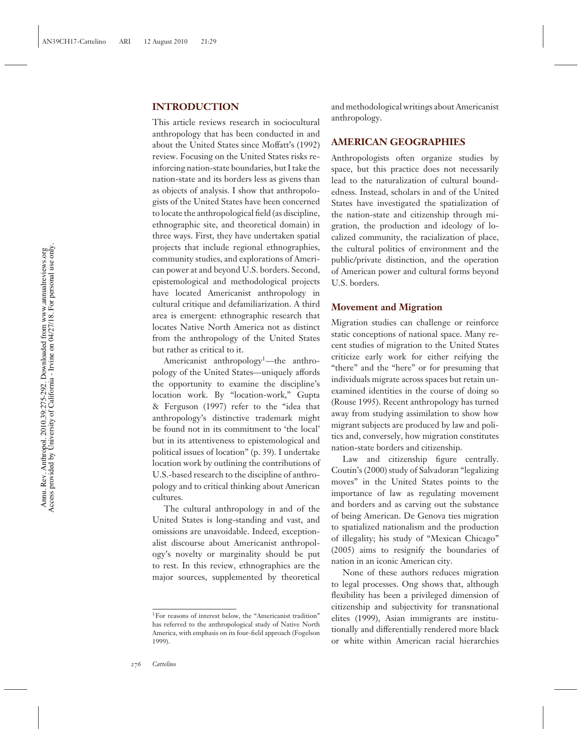# **INTRODUCTION**

This article reviews research in sociocultural anthropology that has been conducted in and about the United States since Moffatt's (1992) review. Focusing on the United States risks reinforcing nation-state boundaries, but I take the nation-state and its borders less as givens than as objects of analysis. I show that anthropologists of the United States have been concerned to locate the anthropological field (as discipline, ethnographic site, and theoretical domain) in three ways. First, they have undertaken spatial projects that include regional ethnographies, community studies, and explorations of American power at and beyond U.S. borders. Second, epistemological and methodological projects have located Americanist anthropology in cultural critique and defamiliarization. A third area is emergent: ethnographic research that locates Native North America not as distinct from the anthropology of the United States but rather as critical to it.

Americanist anthropology<sup>1</sup>—the anthropology of the United States—uniquely affords the opportunity to examine the discipline's location work. By "location-work," Gupta & Ferguson (1997) refer to the "idea that anthropology's distinctive trademark might be found not in its commitment to 'the local' but in its attentiveness to epistemological and political issues of location" (p. 39). I undertake location work by outlining the contributions of U.S.-based research to the discipline of anthropology and to critical thinking about American cultures.

The cultural anthropology in and of the United States is long-standing and vast, and omissions are unavoidable. Indeed, exceptionalist discourse about Americanist anthropology's novelty or marginality should be put to rest. In this review, ethnographies are the major sources, supplemented by theoretical and methodological writings about Americanist anthropology.

# **AMERICAN GEOGRAPHIES**

Anthropologists often organize studies by space, but this practice does not necessarily lead to the naturalization of cultural boundedness. Instead, scholars in and of the United States have investigated the spatialization of the nation-state and citizenship through migration, the production and ideology of localized community, the racialization of place, the cultural politics of environment and the public/private distinction, and the operation of American power and cultural forms beyond U.S. borders.

#### **Movement and Migration**

Migration studies can challenge or reinforce static conceptions of national space. Many recent studies of migration to the United States criticize early work for either reifying the "there" and the "here" or for presuming that individuals migrate across spaces but retain unexamined identities in the course of doing so (Rouse 1995). Recent anthropology has turned away from studying assimilation to show how migrant subjects are produced by law and politics and, conversely, how migration constitutes nation-state borders and citizenship.

Law and citizenship figure centrally. Coutin's (2000) study of Salvadoran "legalizing moves" in the United States points to the importance of law as regulating movement and borders and as carving out the substance of being American. De Genova ties migration to spatialized nationalism and the production of illegality; his study of "Mexican Chicago" (2005) aims to resignify the boundaries of nation in an iconic American city.

None of these authors reduces migration to legal processes. Ong shows that, although flexibility has been a privileged dimension of citizenship and subjectivity for transnational elites (1999), Asian immigrants are institutionally and differentially rendered more black or white within American racial hierarchies

<sup>&</sup>lt;sup>1</sup>For reasons of interest below, the "Americanist tradition" has referred to the anthropological study of Native North America, with emphasis on its four-field approach (Fogelson 1999).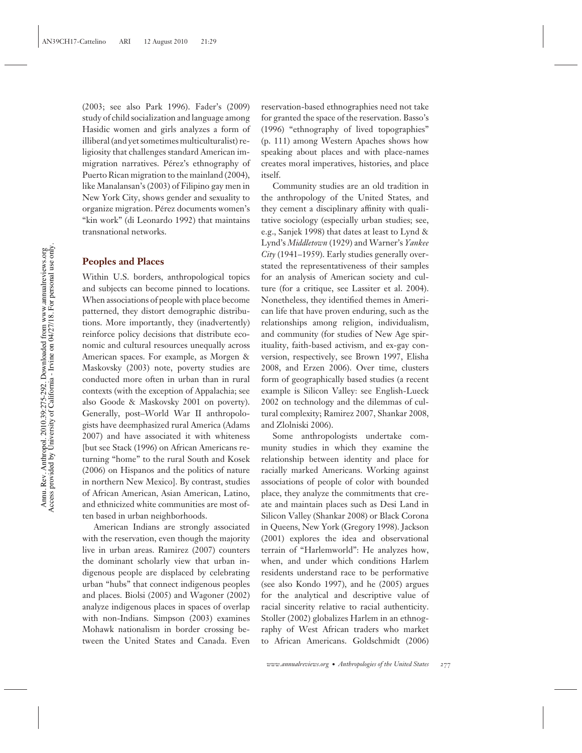(2003; see also Park 1996). Fader's (2009) study of child socialization and language among Hasidic women and girls analyzes a form of illiberal (and yet sometimes multiculturalist) religiosity that challenges standard American immigration narratives. Pérez's ethnography of Puerto Rican migration to the mainland (2004), like Manalansan's (2003) of Filipino gay men in New York City, shows gender and sexuality to organize migration. Pérez documents women's "kin work" (di Leonardo 1992) that maintains transnational networks.

### **Peoples and Places**

Within U.S. borders, anthropological topics and subjects can become pinned to locations. When associations of people with place become patterned, they distort demographic distributions. More importantly, they (inadvertently) reinforce policy decisions that distribute economic and cultural resources unequally across American spaces. For example, as Morgen & Maskovsky (2003) note, poverty studies are conducted more often in urban than in rural contexts (with the exception of Appalachia; see also Goode & Maskovsky 2001 on poverty). Generally, post–World War II anthropologists have deemphasized rural America (Adams 2007) and have associated it with whiteness [but see Stack (1996) on African Americans returning "home" to the rural South and Kosek (2006) on Hispanos and the politics of nature in northern New Mexico]. By contrast, studies of African American, Asian American, Latino, and ethnicized white communities are most often based in urban neighborhoods.

American Indians are strongly associated with the reservation, even though the majority live in urban areas. Ramirez (2007) counters the dominant scholarly view that urban indigenous people are displaced by celebrating urban "hubs" that connect indigenous peoples and places. Biolsi (2005) and Wagoner (2002) analyze indigenous places in spaces of overlap with non-Indians. Simpson (2003) examines Mohawk nationalism in border crossing between the United States and Canada. Even

reservation-based ethnographies need not take for granted the space of the reservation. Basso's (1996) "ethnography of lived topographies" (p. 111) among Western Apaches shows how speaking about places and with place-names creates moral imperatives, histories, and place itself.

Community studies are an old tradition in the anthropology of the United States, and they cement a disciplinary affinity with qualitative sociology (especially urban studies; see, e.g., Sanjek 1998) that dates at least to Lynd & Lynd's *Middletown* (1929) and Warner's *Yankee City* (1941–1959). Early studies generally overstated the representativeness of their samples for an analysis of American society and culture (for a critique, see Lassiter et al. 2004). Nonetheless, they identified themes in American life that have proven enduring, such as the relationships among religion, individualism, and community (for studies of New Age spirituality, faith-based activism, and ex-gay conversion, respectively, see Brown 1997, Elisha 2008, and Erzen 2006). Over time, clusters form of geographically based studies (a recent example is Silicon Valley: see English-Lueck 2002 on technology and the dilemmas of cultural complexity; Ramirez 2007, Shankar 2008, and Zlolniski 2006).

Some anthropologists undertake community studies in which they examine the relationship between identity and place for racially marked Americans. Working against associations of people of color with bounded place, they analyze the commitments that create and maintain places such as Desi Land in Silicon Valley (Shankar 2008) or Black Corona in Queens, New York (Gregory 1998). Jackson (2001) explores the idea and observational terrain of "Harlemworld": He analyzes how, when, and under which conditions Harlem residents understand race to be performative (see also Kondo 1997), and he (2005) argues for the analytical and descriptive value of racial sincerity relative to racial authenticity. Stoller (2002) globalizes Harlem in an ethnography of West African traders who market to African Americans. Goldschmidt (2006)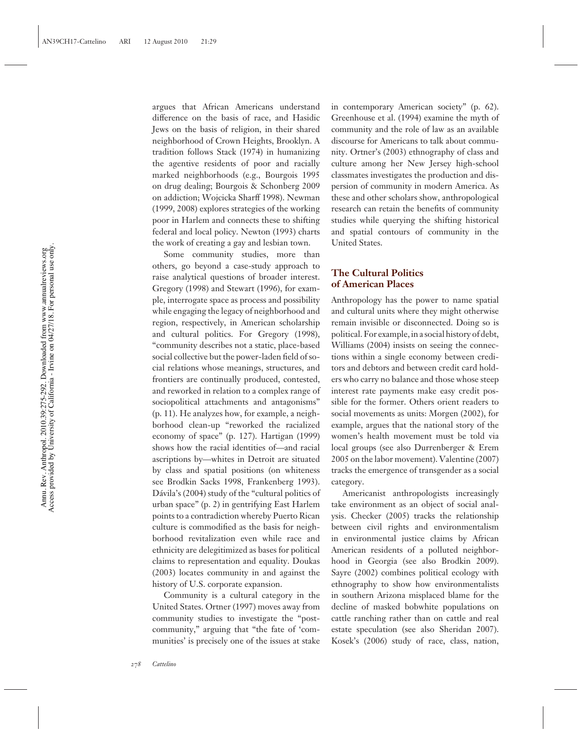argues that African Americans understand difference on the basis of race, and Hasidic Jews on the basis of religion, in their shared neighborhood of Crown Heights, Brooklyn. A tradition follows Stack (1974) in humanizing the agentive residents of poor and racially marked neighborhoods (e.g., Bourgois 1995 on drug dealing; Bourgois & Schonberg 2009 on addiction; Wojcicka Sharff 1998). Newman (1999, 2008) explores strategies of the working poor in Harlem and connects these to shifting federal and local policy. Newton (1993) charts the work of creating a gay and lesbian town.

Some community studies, more than others, go beyond a case-study approach to raise analytical questions of broader interest. Gregory (1998) and Stewart (1996), for example, interrogate space as process and possibility while engaging the legacy of neighborhood and region, respectively, in American scholarship and cultural politics. For Gregory (1998), "community describes not a static, place-based social collective but the power-laden field of social relations whose meanings, structures, and frontiers are continually produced, contested, and reworked in relation to a complex range of sociopolitical attachments and antagonisms" (p. 11). He analyzes how, for example, a neighborhood clean-up "reworked the racialized economy of space" (p. 127). Hartigan (1999) shows how the racial identities of—and racial ascriptions by—whites in Detroit are situated by class and spatial positions (on whiteness see Brodkin Sacks 1998, Frankenberg 1993). Dávila's (2004) study of the "cultural politics of urban space" (p. 2) in gentrifying East Harlem points to a contradiction whereby Puerto Rican culture is commodified as the basis for neighborhood revitalization even while race and ethnicity are delegitimized as bases for political claims to representation and equality. Doukas (2003) locates community in and against the history of U.S. corporate expansion.

Community is a cultural category in the United States. Ortner (1997) moves away from community studies to investigate the "postcommunity," arguing that "the fate of 'communities' is precisely one of the issues at stake

in contemporary American society" (p. 62). Greenhouse et al. (1994) examine the myth of community and the role of law as an available discourse for Americans to talk about community. Ortner's (2003) ethnography of class and culture among her New Jersey high-school classmates investigates the production and dispersion of community in modern America. As these and other scholars show, anthropological research can retain the benefits of community studies while querying the shifting historical and spatial contours of community in the United States.

# **The Cultural Politics of American Places**

Anthropology has the power to name spatial and cultural units where they might otherwise remain invisible or disconnected. Doing so is political. For example, in a social history of debt, Williams (2004) insists on seeing the connections within a single economy between creditors and debtors and between credit card holders who carry no balance and those whose steep interest rate payments make easy credit possible for the former. Others orient readers to social movements as units: Morgen (2002), for example, argues that the national story of the women's health movement must be told via local groups (see also Durrenberger & Erem 2005 on the labor movement). Valentine (2007) tracks the emergence of transgender as a social category.

Americanist anthropologists increasingly take environment as an object of social analysis. Checker (2005) tracks the relationship between civil rights and environmentalism in environmental justice claims by African American residents of a polluted neighborhood in Georgia (see also Brodkin 2009). Sayre (2002) combines political ecology with ethnography to show how environmentalists in southern Arizona misplaced blame for the decline of masked bobwhite populations on cattle ranching rather than on cattle and real estate speculation (see also Sheridan 2007). Kosek's (2006) study of race, class, nation,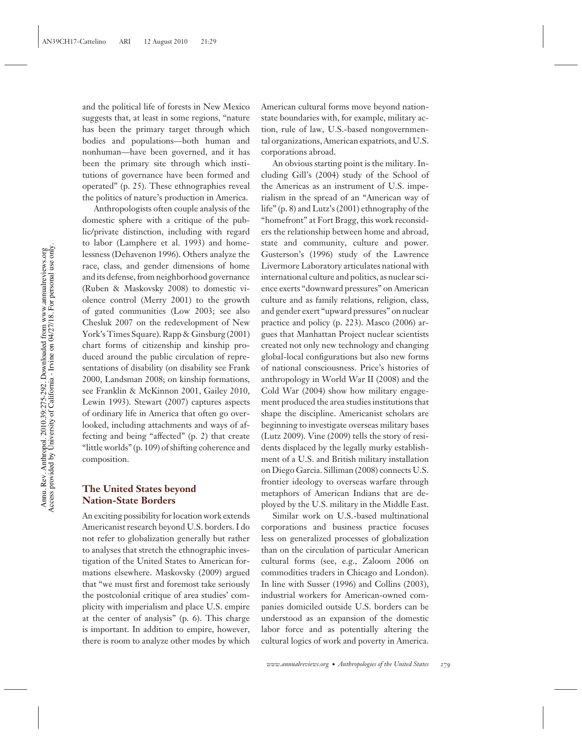and the political life of forests in New Mexico suggests that, at least in some regions, "nature has been the primary target through which bodies and populations—both human and nonhuman—have been governed, and it has been the primary site through which institutions of governance have been formed and operated" (p. 25). These ethnographies reveal the politics of nature's production in America.

Anthropologists often couple analysis of the domestic sphere with a critique of the public/private distinction, including with regard to labor (Lamphere et al. 1993) and homelessness (Dehavenon 1996). Others analyze the race, class, and gender dimensions of home and its defense, from neighborhood governance (Ruben & Maskovsky 2008) to domestic violence control (Merry 2001) to the growth of gated communities (Low 2003; see also Chesluk 2007 on the redevelopment of New York's Times Square). Rapp & Ginsburg (2001) chart forms of citizenship and kinship produced around the public circulation of representations of disability (on disability see Frank 2000, Landsman 2008; on kinship formations, see Franklin & McKinnon 2001, Gailey 2010, Lewin 1993). Stewart (2007) captures aspects of ordinary life in America that often go overlooked, including attachments and ways of affecting and being "affected" (p. 2) that create "little worlds" (p. 109) of shifting coherence and composition.

#### **The United States beyond Nation-State Borders**

An exciting possibility for location work extends Americanist research beyond U.S. borders. I do not refer to globalization generally but rather to analyses that stretch the ethnographic investigation of the United States to American formations elsewhere. Maskovsky (2009) argued that "we must first and foremost take seriously the postcolonial critique of area studies' complicity with imperialism and place U.S. empire at the center of analysis" (p. 6). This charge is important. In addition to empire, however, there is room to analyze other modes by which American cultural forms move beyond nationstate boundaries with, for example, military action, rule of law, U.S.-based nongovernmental organizations, American expatriots, and U.S. corporations abroad.

An obvious starting point is the military. Including Gill's (2004) study of the School of the Americas as an instrument of U.S. imperialism in the spread of an "American way of life" (p. 8) and Lutz's (2001) ethnography of the "homefront" at Fort Bragg, this work reconsiders the relationship between home and abroad, state and community, culture and power. Gusterson's (1996) study of the Lawrence Livermore Laboratory articulates national with international culture and politics, as nuclear science exerts "downward pressures" on American culture and as family relations, religion, class, and gender exert "upward pressures" on nuclear practice and policy (p. 223). Masco (2006) argues that Manhattan Project nuclear scientists created not only new technology and changing global-local configurations but also new forms of national consciousness. Price's histories of anthropology in World War II (2008) and the Cold War (2004) show how military engagement produced the area studies institutions that shape the discipline. Americanist scholars are beginning to investigate overseas military bases (Lutz 2009). Vine (2009) tells the story of residents displaced by the legally murky establishment of a U.S. and British military installation on Diego Garcia. Silliman (2008) connects U.S. frontier ideology to overseas warfare through metaphors of American Indians that are deployed by the U.S. military in the Middle East.

Similar work on U.S.-based multinational corporations and business practice focuses less on generalized processes of globalization than on the circulation of particular American cultural forms (see, e.g., Zaloom 2006 on commodities traders in Chicago and London). In line with Susser (1996) and Collins (2003), industrial workers for American-owned companies domiciled outside U.S. borders can be understood as an expansion of the domestic labor force and as potentially altering the cultural logics of work and poverty in America.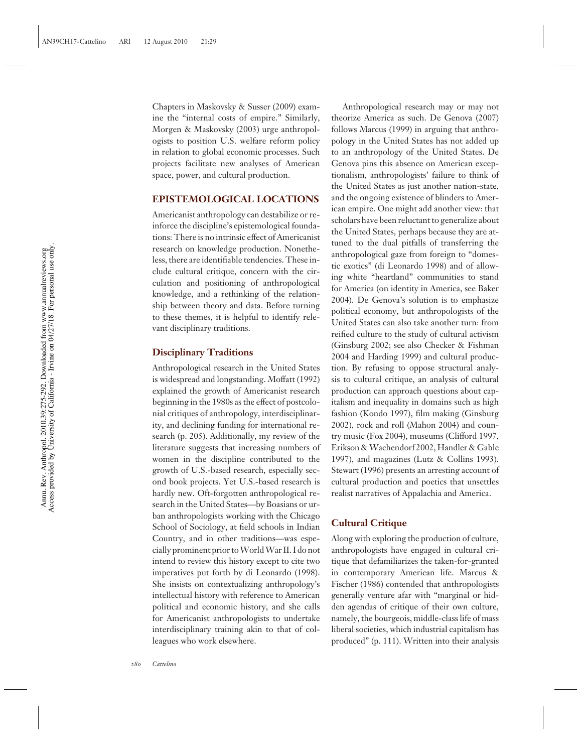Chapters in Maskovsky & Susser (2009) examine the "internal costs of empire." Similarly, Morgen & Maskovsky (2003) urge anthropologists to position U.S. welfare reform policy in relation to global economic processes. Such projects facilitate new analyses of American space, power, and cultural production.

#### **EPISTEMOLOGICAL LOCATIONS**

Americanist anthropology can destabilize or reinforce the discipline's epistemological foundations: There is no intrinsic effect of Americanist research on knowledge production. Nonetheless, there are identifiable tendencies. These include cultural critique, concern with the circulation and positioning of anthropological knowledge, and a rethinking of the relationship between theory and data. Before turning to these themes, it is helpful to identify relevant disciplinary traditions.

#### **Disciplinary Traditions**

Anthropological research in the United States is widespread and longstanding. Moffatt (1992) explained the growth of Americanist research beginning in the 1980s as the effect of postcolonial critiques of anthropology, interdisciplinarity, and declining funding for international research (p. 205). Additionally, my review of the literature suggests that increasing numbers of women in the discipline contributed to the growth of U.S.-based research, especially second book projects. Yet U.S.-based research is hardly new. Oft-forgotten anthropological research in the United States—by Boasians or urban anthropologists working with the Chicago School of Sociology, at field schools in Indian Country, and in other traditions—was especially prominent prior toWorldWar II. I do not intend to review this history except to cite two imperatives put forth by di Leonardo (1998). She insists on contextualizing anthropology's intellectual history with reference to American political and economic history, and she calls for Americanist anthropologists to undertake interdisciplinary training akin to that of colleagues who work elsewhere.

Anthropological research may or may not theorize America as such. De Genova (2007) follows Marcus (1999) in arguing that anthropology in the United States has not added up to an anthropology of the United States. De Genova pins this absence on American exceptionalism, anthropologists' failure to think of the United States as just another nation-state, and the ongoing existence of blinders to American empire. One might add another view: that scholars have been reluctant to generalize about the United States, perhaps because they are attuned to the dual pitfalls of transferring the anthropological gaze from foreign to "domestic exotics" (di Leonardo 1998) and of allowing white "heartland" communities to stand for America (on identity in America, see Baker 2004). De Genova's solution is to emphasize political economy, but anthropologists of the United States can also take another turn: from reified culture to the study of cultural activism (Ginsburg 2002; see also Checker & Fishman 2004 and Harding 1999) and cultural production. By refusing to oppose structural analysis to cultural critique, an analysis of cultural production can approach questions about capitalism and inequality in domains such as high fashion (Kondo 1997), film making (Ginsburg 2002), rock and roll (Mahon 2004) and country music (Fox 2004), museums (Clifford 1997, Erikson & Wachendorf 2002, Handler & Gable 1997), and magazines (Lutz & Collins 1993). Stewart (1996) presents an arresting account of cultural production and poetics that unsettles realist narratives of Appalachia and America.

# **Cultural Critique**

Along with exploring the production of culture, anthropologists have engaged in cultural critique that defamiliarizes the taken-for-granted in contemporary American life. Marcus & Fischer (1986) contended that anthropologists generally venture afar with "marginal or hidden agendas of critique of their own culture, namely, the bourgeois, middle-class life of mass liberal societies, which industrial capitalism has produced" (p. 111). Written into their analysis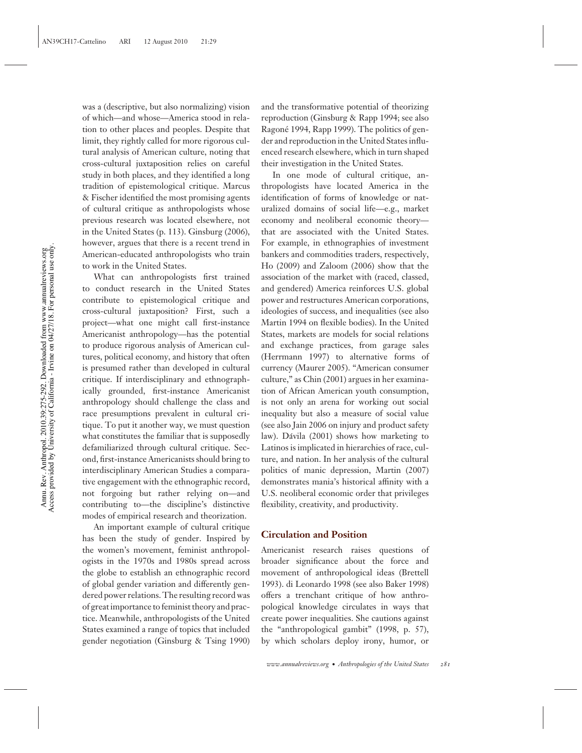was a (descriptive, but also normalizing) vision of which—and whose—America stood in relation to other places and peoples. Despite that limit, they rightly called for more rigorous cultural analysis of American culture, noting that cross-cultural juxtaposition relies on careful study in both places, and they identified a long tradition of epistemological critique. Marcus & Fischer identified the most promising agents of cultural critique as anthropologists whose previous research was located elsewhere, not in the United States (p. 113). Ginsburg (2006), however, argues that there is a recent trend in American-educated anthropologists who train to work in the United States.

What can anthropologists first trained to conduct research in the United States contribute to epistemological critique and cross-cultural juxtaposition? First, such a project—what one might call first-instance Americanist anthropology—has the potential to produce rigorous analysis of American cultures, political economy, and history that often is presumed rather than developed in cultural critique. If interdisciplinary and ethnographically grounded, first-instance Americanist anthropology should challenge the class and race presumptions prevalent in cultural critique. To put it another way, we must question what constitutes the familiar that is supposedly defamiliarized through cultural critique. Second, first-instance Americanists should bring to interdisciplinary American Studies a comparative engagement with the ethnographic record, not forgoing but rather relying on—and contributing to—the discipline's distinctive modes of empirical research and theorization.

An important example of cultural critique has been the study of gender. Inspired by the women's movement, feminist anthropologists in the 1970s and 1980s spread across the globe to establish an ethnographic record of global gender variation and differently gendered power relations. The resulting record was of great importance to feminist theory and practice. Meanwhile, anthropologists of the United States examined a range of topics that included gender negotiation (Ginsburg & Tsing 1990) and the transformative potential of theorizing reproduction (Ginsburg & Rapp 1994; see also Ragoné 1994, Rapp 1999). The politics of gender and reproduction in the United States influenced research elsewhere, which in turn shaped their investigation in the United States.

In one mode of cultural critique, anthropologists have located America in the identification of forms of knowledge or naturalized domains of social life—e.g., market economy and neoliberal economic theory that are associated with the United States. For example, in ethnographies of investment bankers and commodities traders, respectively, Ho (2009) and Zaloom (2006) show that the association of the market with (raced, classed, and gendered) America reinforces U.S. global power and restructures American corporations, ideologies of success, and inequalities (see also Martin 1994 on flexible bodies). In the United States, markets are models for social relations and exchange practices, from garage sales (Herrmann 1997) to alternative forms of currency (Maurer 2005). "American consumer culture," as Chin (2001) argues in her examination of African American youth consumption, is not only an arena for working out social inequality but also a measure of social value (see also Jain 2006 on injury and product safety law). Dávila (2001) shows how marketing to Latinos is implicated in hierarchies of race, culture, and nation. In her analysis of the cultural politics of manic depression, Martin (2007) demonstrates mania's historical affinity with a U.S. neoliberal economic order that privileges flexibility, creativity, and productivity.

### **Circulation and Position**

Americanist research raises questions of broader significance about the force and movement of anthropological ideas (Brettell 1993). di Leonardo 1998 (see also Baker 1998) offers a trenchant critique of how anthropological knowledge circulates in ways that create power inequalities. She cautions against the "anthropological gambit" (1998, p. 57), by which scholars deploy irony, humor, or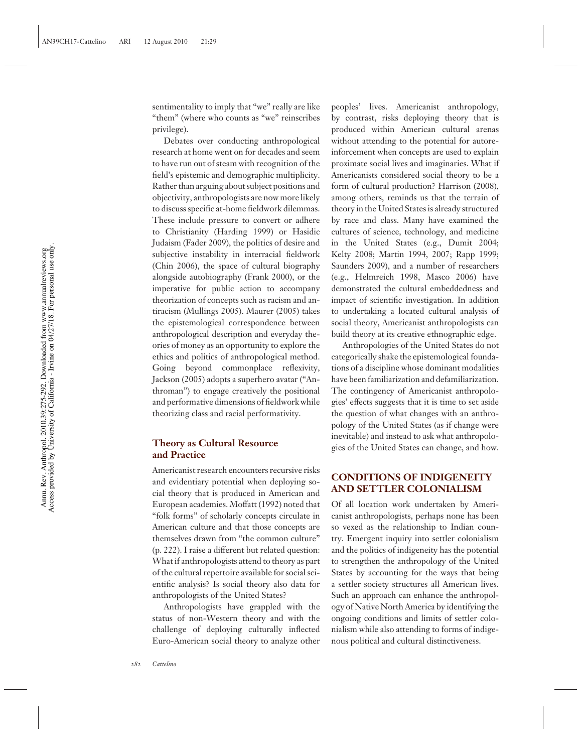sentimentality to imply that "we" really are like "them" (where who counts as "we" reinscribes privilege).

Debates over conducting anthropological research at home went on for decades and seem to have run out of steam with recognition of the field's epistemic and demographic multiplicity. Rather than arguing about subject positions and objectivity, anthropologists are now more likely to discuss specific at-home fieldwork dilemmas. These include pressure to convert or adhere to Christianity (Harding 1999) or Hasidic Judaism (Fader 2009), the politics of desire and subjective instability in interracial fieldwork (Chin 2006), the space of cultural biography alongside autobiography (Frank 2000), or the imperative for public action to accompany theorization of concepts such as racism and antiracism (Mullings 2005). Maurer (2005) takes the epistemological correspondence between anthropological description and everyday theories of money as an opportunity to explore the ethics and politics of anthropological method. Going beyond commonplace reflexivity, Jackson (2005) adopts a superhero avatar ("Anthroman") to engage creatively the positional and performative dimensions of fieldwork while theorizing class and racial performativity.

# **Theory as Cultural Resource and Practice**

Americanist research encounters recursive risks and evidentiary potential when deploying social theory that is produced in American and European academies. Moffatt (1992) noted that "folk forms" of scholarly concepts circulate in American culture and that those concepts are themselves drawn from "the common culture" (p. 222). I raise a different but related question: What if anthropologists attend to theory as part of the cultural repertoire available for social scientific analysis? Is social theory also data for anthropologists of the United States?

Anthropologists have grappled with the status of non-Western theory and with the challenge of deploying culturally inflected Euro-American social theory to analyze other peoples' lives. Americanist anthropology, by contrast, risks deploying theory that is produced within American cultural arenas without attending to the potential for autoreinforcement when concepts are used to explain proximate social lives and imaginaries. What if Americanists considered social theory to be a form of cultural production? Harrison (2008), among others, reminds us that the terrain of theory in the United States is already structured by race and class. Many have examined the cultures of science, technology, and medicine in the United States (e.g., Dumit 2004; Kelty 2008; Martin 1994, 2007; Rapp 1999; Saunders 2009), and a number of researchers (e.g., Helmreich 1998, Masco 2006) have demonstrated the cultural embeddedness and impact of scientific investigation. In addition to undertaking a located cultural analysis of social theory, Americanist anthropologists can build theory at its creative ethnographic edge.

Anthropologies of the United States do not categorically shake the epistemological foundations of a discipline whose dominant modalities have been familiarization and defamiliarization. The contingency of Americanist anthropologies' effects suggests that it is time to set aside the question of what changes with an anthropology of the United States (as if change were inevitable) and instead to ask what anthropologies of the United States can change, and how.

# **CONDITIONS OF INDIGENEITY AND SETTLER COLONIALISM**

Of all location work undertaken by Americanist anthropologists, perhaps none has been so vexed as the relationship to Indian country. Emergent inquiry into settler colonialism and the politics of indigeneity has the potential to strengthen the anthropology of the United States by accounting for the ways that being a settler society structures all American lives. Such an approach can enhance the anthropology of Native North America by identifying the ongoing conditions and limits of settler colonialism while also attending to forms of indigenous political and cultural distinctiveness.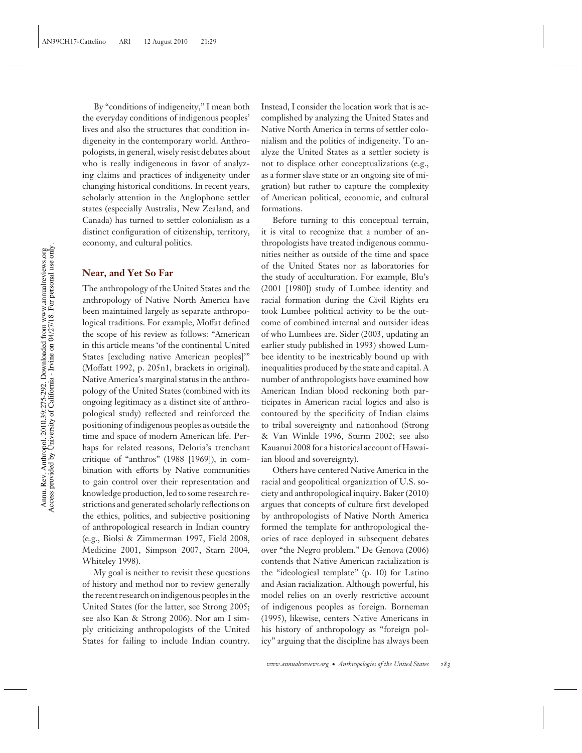By "conditions of indigeneity," I mean both the everyday conditions of indigenous peoples' lives and also the structures that condition indigeneity in the contemporary world. Anthropologists, in general, wisely resist debates about who is really indigeneous in favor of analyzing claims and practices of indigeneity under changing historical conditions. In recent years, scholarly attention in the Anglophone settler states (especially Australia, New Zealand, and Canada) has turned to settler colonialism as a distinct configuration of citizenship, territory, economy, and cultural politics.

#### **Near, and Yet So Far**

The anthropology of the United States and the anthropology of Native North America have been maintained largely as separate anthropological traditions. For example, Moffat defined the scope of his review as follows: "American in this article means 'of the continental United States [excluding native American peoples]'" (Moffatt 1992, p. 205n1, brackets in original). Native America's marginal status in the anthropology of the United States (combined with its ongoing legitimacy as a distinct site of anthropological study) reflected and reinforced the positioning of indigenous peoples as outside the time and space of modern American life. Perhaps for related reasons, Deloria's trenchant critique of "anthros" (1988 [1969]), in combination with efforts by Native communities to gain control over their representation and knowledge production, led to some research restrictions and generated scholarly reflections on the ethics, politics, and subjective positioning of anthropological research in Indian country (e.g., Biolsi & Zimmerman 1997, Field 2008, Medicine 2001, Simpson 2007, Starn 2004, Whiteley 1998).

My goal is neither to revisit these questions of history and method nor to review generally the recent research on indigenous peoples in the United States (for the latter, see Strong 2005; see also Kan & Strong 2006). Nor am I simply criticizing anthropologists of the United States for failing to include Indian country.

Instead, I consider the location work that is accomplished by analyzing the United States and Native North America in terms of settler colonialism and the politics of indigeneity. To analyze the United States as a settler society is not to displace other conceptualizations (e.g., as a former slave state or an ongoing site of migration) but rather to capture the complexity of American political, economic, and cultural formations.

Before turning to this conceptual terrain, it is vital to recognize that a number of anthropologists have treated indigenous communities neither as outside of the time and space of the United States nor as laboratories for the study of acculturation. For example, Blu's (2001 [1980]) study of Lumbee identity and racial formation during the Civil Rights era took Lumbee political activity to be the outcome of combined internal and outsider ideas of who Lumbees are. Sider (2003, updating an earlier study published in 1993) showed Lumbee identity to be inextricably bound up with inequalities produced by the state and capital. A number of anthropologists have examined how American Indian blood reckoning both participates in American racial logics and also is contoured by the specificity of Indian claims to tribal sovereignty and nationhood (Strong & Van Winkle 1996, Sturm 2002; see also Kauanui 2008 for a historical account of Hawaiian blood and sovereignty).

Others have centered Native America in the racial and geopolitical organization of U.S. society and anthropological inquiry. Baker (2010) argues that concepts of culture first developed by anthropologists of Native North America formed the template for anthropological theories of race deployed in subsequent debates over "the Negro problem." De Genova (2006) contends that Native American racialization is the "ideological template" (p. 10) for Latino and Asian racialization. Although powerful, his model relies on an overly restrictive account of indigenous peoples as foreign. Borneman (1995), likewise, centers Native Americans in his history of anthropology as "foreign policy" arguing that the discipline has always been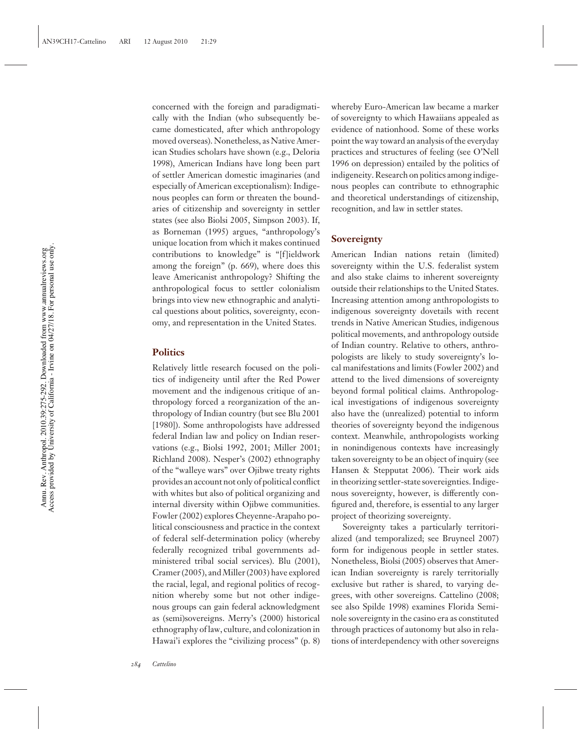concerned with the foreign and paradigmatically with the Indian (who subsequently became domesticated, after which anthropology moved overseas). Nonetheless, as Native American Studies scholars have shown (e.g., Deloria 1998), American Indians have long been part of settler American domestic imaginaries (and especially of American exceptionalism): Indigenous peoples can form or threaten the boundaries of citizenship and sovereignty in settler states (see also Biolsi 2005, Simpson 2003). If, as Borneman (1995) argues, "anthropology's unique location from which it makes continued contributions to knowledge" is "[f ]ieldwork among the foreign" (p. 669), where does this leave Americanist anthropology? Shifting the anthropological focus to settler colonialism brings into view new ethnographic and analytical questions about politics, sovereignty, economy, and representation in the United States.

#### **Politics**

Relatively little research focused on the politics of indigeneity until after the Red Power movement and the indigenous critique of anthropology forced a reorganization of the anthropology of Indian country (but see Blu 2001 [1980]). Some anthropologists have addressed federal Indian law and policy on Indian reservations (e.g., Biolsi 1992, 2001; Miller 2001; Richland 2008). Nesper's (2002) ethnography of the "walleye wars" over Ojibwe treaty rights provides an account not only of political conflict with whites but also of political organizing and internal diversity within Ojibwe communities. Fowler (2002) explores Cheyenne-Arapaho political consciousness and practice in the context of federal self-determination policy (whereby federally recognized tribal governments administered tribal social services). Blu (2001), Cramer (2005), andMiller (2003) have explored the racial, legal, and regional politics of recognition whereby some but not other indigenous groups can gain federal acknowledgment as (semi)sovereigns. Merry's (2000) historical ethnography of law, culture, and colonization in Hawai'i explores the "civilizing process" (p. 8)

whereby Euro-American law became a marker of sovereignty to which Hawaiians appealed as evidence of nationhood. Some of these works point the way toward an analysis of the everyday practices and structures of feeling (see O'Nell 1996 on depression) entailed by the politics of indigeneity. Research on politics among indigenous peoples can contribute to ethnographic and theoretical understandings of citizenship, recognition, and law in settler states.

#### **Sovereignty**

American Indian nations retain (limited) sovereignty within the U.S. federalist system and also stake claims to inherent sovereignty outside their relationships to the United States. Increasing attention among anthropologists to indigenous sovereignty dovetails with recent trends in Native American Studies, indigenous political movements, and anthropology outside of Indian country. Relative to others, anthropologists are likely to study sovereignty's local manifestations and limits (Fowler 2002) and attend to the lived dimensions of sovereignty beyond formal political claims. Anthropological investigations of indigenous sovereignty also have the (unrealized) potential to inform theories of sovereignty beyond the indigenous context. Meanwhile, anthropologists working in nonindigenous contexts have increasingly taken sovereignty to be an object of inquiry (see Hansen & Stepputat 2006). Their work aids in theorizing settler-state sovereignties. Indigenous sovereignty, however, is differently configured and, therefore, is essential to any larger project of theorizing sovereignty.

Sovereignty takes a particularly territorialized (and temporalized; see Bruyneel 2007) form for indigenous people in settler states. Nonetheless, Biolsi (2005) observes that American Indian sovereignty is rarely territorially exclusive but rather is shared, to varying degrees, with other sovereigns. Cattelino (2008; see also Spilde 1998) examines Florida Seminole sovereignty in the casino era as constituted through practices of autonomy but also in relations of interdependency with other sovereigns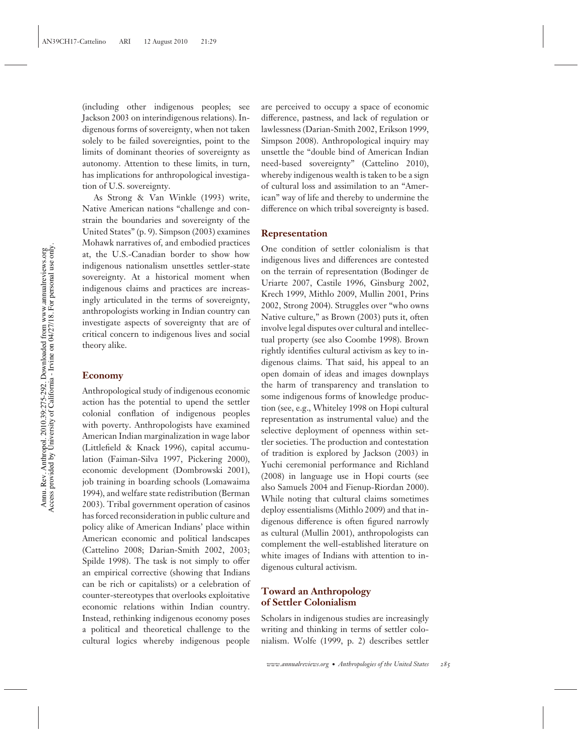(including other indigenous peoples; see Jackson 2003 on interindigenous relations). Indigenous forms of sovereignty, when not taken solely to be failed sovereignties, point to the limits of dominant theories of sovereignty as autonomy. Attention to these limits, in turn, has implications for anthropological investigation of U.S. sovereignty.

As Strong & Van Winkle (1993) write, Native American nations "challenge and constrain the boundaries and sovereignty of the United States" (p. 9). Simpson (2003) examines Mohawk narratives of, and embodied practices at, the U.S.-Canadian border to show how indigenous nationalism unsettles settler-state sovereignty. At a historical moment when indigenous claims and practices are increasingly articulated in the terms of sovereignty, anthropologists working in Indian country can investigate aspects of sovereignty that are of critical concern to indigenous lives and social theory alike.

#### **Economy**

Anthropological study of indigenous economic action has the potential to upend the settler colonial conflation of indigenous peoples with poverty. Anthropologists have examined American Indian marginalization in wage labor (Littlefield & Knack 1996), capital accumulation (Faiman-Silva 1997, Pickering 2000), economic development (Dombrowski 2001), job training in boarding schools (Lomawaima 1994), and welfare state redistribution (Berman 2003). Tribal government operation of casinos has forced reconsideration in public culture and policy alike of American Indians' place within American economic and political landscapes (Cattelino 2008; Darian-Smith 2002, 2003; Spilde 1998). The task is not simply to offer an empirical corrective (showing that Indians can be rich or capitalists) or a celebration of counter-stereotypes that overlooks exploitative economic relations within Indian country. Instead, rethinking indigenous economy poses a political and theoretical challenge to the cultural logics whereby indigenous people are perceived to occupy a space of economic difference, pastness, and lack of regulation or lawlessness (Darian-Smith 2002, Erikson 1999, Simpson 2008). Anthropological inquiry may unsettle the "double bind of American Indian need-based sovereignty" (Cattelino 2010), whereby indigenous wealth is taken to be a sign of cultural loss and assimilation to an "American" way of life and thereby to undermine the difference on which tribal sovereignty is based.

#### **Representation**

One condition of settler colonialism is that indigenous lives and differences are contested on the terrain of representation (Bodinger de Uriarte 2007, Castile 1996, Ginsburg 2002, Krech 1999, Mithlo 2009, Mullin 2001, Prins 2002, Strong 2004). Struggles over "who owns Native culture," as Brown (2003) puts it, often involve legal disputes over cultural and intellectual property (see also Coombe 1998). Brown rightly identifies cultural activism as key to indigenous claims. That said, his appeal to an open domain of ideas and images downplays the harm of transparency and translation to some indigenous forms of knowledge production (see, e.g., Whiteley 1998 on Hopi cultural representation as instrumental value) and the selective deployment of openness within settler societies. The production and contestation of tradition is explored by Jackson (2003) in Yuchi ceremonial performance and Richland (2008) in language use in Hopi courts (see also Samuels 2004 and Fienup-Riordan 2000). While noting that cultural claims sometimes deploy essentialisms (Mithlo 2009) and that indigenous difference is often figured narrowly as cultural (Mullin 2001), anthropologists can complement the well-established literature on white images of Indians with attention to indigenous cultural activism.

#### **Toward an Anthropology of Settler Colonialism**

Scholars in indigenous studies are increasingly writing and thinking in terms of settler colonialism. Wolfe (1999, p. 2) describes settler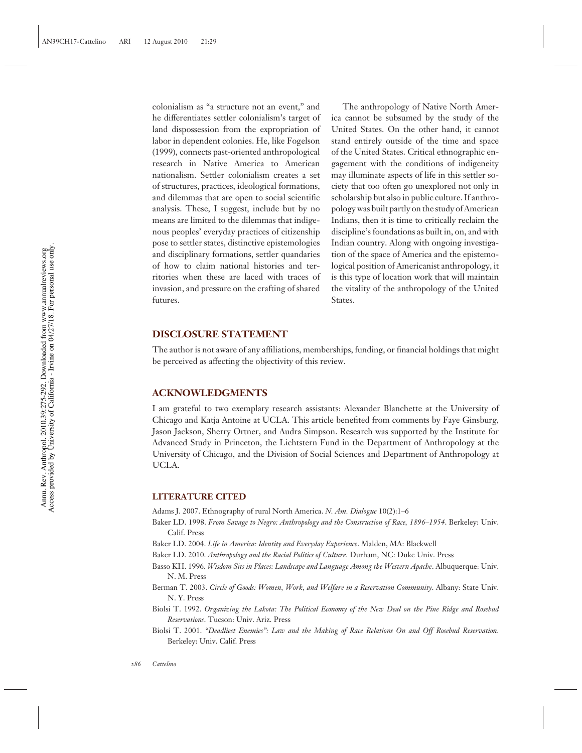colonialism as "a structure not an event," and he differentiates settler colonialism's target of land dispossession from the expropriation of labor in dependent colonies. He, like Fogelson (1999), connects past-oriented anthropological research in Native America to American nationalism. Settler colonialism creates a set of structures, practices, ideological formations, and dilemmas that are open to social scientific analysis. These, I suggest, include but by no means are limited to the dilemmas that indigenous peoples' everyday practices of citizenship pose to settler states, distinctive epistemologies and disciplinary formations, settler quandaries of how to claim national histories and territories when these are laced with traces of invasion, and pressure on the crafting of shared futures.

The anthropology of Native North America cannot be subsumed by the study of the United States. On the other hand, it cannot stand entirely outside of the time and space of the United States. Critical ethnographic engagement with the conditions of indigeneity may illuminate aspects of life in this settler society that too often go unexplored not only in scholarship but also in public culture. If anthropology was built partly on the study of American Indians, then it is time to critically reclaim the discipline's foundations as built in, on, and with Indian country. Along with ongoing investigation of the space of America and the epistemological position of Americanist anthropology, it is this type of location work that will maintain the vitality of the anthropology of the United States.

#### **DISCLOSURE STATEMENT**

The author is not aware of any affiliations, memberships, funding, or financial holdings that might be perceived as affecting the objectivity of this review.

# **ACKNOWLEDGMENTS**

I am grateful to two exemplary research assistants: Alexander Blanchette at the University of Chicago and Katja Antoine at UCLA. This article benefited from comments by Faye Ginsburg, Jason Jackson, Sherry Ortner, and Audra Simpson. Research was supported by the Institute for Advanced Study in Princeton, the Lichtstern Fund in the Department of Anthropology at the University of Chicago, and the Division of Social Sciences and Department of Anthropology at UCLA.

#### **LITERATURE CITED**

Adams J. 2007. Ethnography of rural North America. *N. Am. Dialogue* 10(2):1–6

- Baker LD. 1998. *From Savage to Negro: Anthropology and the Construction of Race, 1896–1954*. Berkeley: Univ. Calif. Press
- Baker LD. 2004. *Life in America: Identity and Everyday Experience*. Malden, MA: Blackwell
- Baker LD. 2010. *Anthropology and the Racial Politics of Culture*. Durham, NC: Duke Univ. Press
- Basso KH. 1996. *Wisdom Sits in Places: Landscape and Language Among the Western Apache*. Albuquerque: Univ. N. M. Press
- Berman T. 2003. *Circle of Goods: Women, Work, and Welfare in a Reservation Community*. Albany: State Univ. N. Y. Press
- Biolsi T. 1992. *Organizing the Lakota: The Political Economy of the New Deal on the Pine Ridge and Rosebud Reservations*. Tucson: Univ. Ariz. Press
- Biolsi T. 2001. *"Deadliest Enemies": Law and the Making of Race Relations On and Off Rosebud Reservation*. Berkeley: Univ. Calif. Press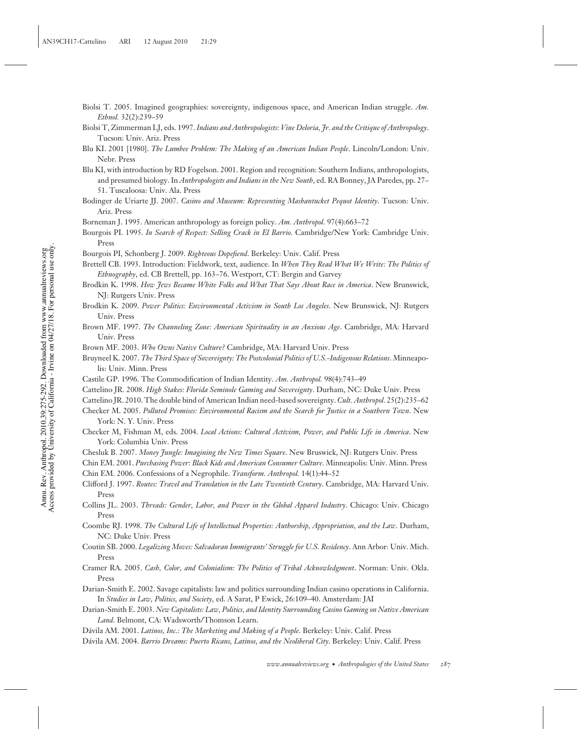- Biolsi T. 2005. Imagined geographies: sovereignty, indigenous space, and American Indian struggle. *Am. Ethnol.* 32(2):239–59
- Biolsi T, Zimmerman LJ, eds. 1997. *Indians and Anthropologists: Vine Deloria, Jr. and the Critique of Anthropology*. Tucson: Univ. Ariz. Press
- Blu KI. 2001 [1980]. *The Lumbee Problem: The Making of an American Indian People*. Lincoln/London: Univ. Nebr. Press
- Blu KI, with introduction by RD Fogelson. 2001. Region and recognition: Southern Indians, anthropologists, and presumed biology. In *Anthropologists and Indians in the New South*, ed. RA Bonney, JA Paredes, pp. 27– 51. Tuscaloosa: Univ. Ala. Press
- Bodinger de Uriarte JJ. 2007. *Casino and Museum: Representing Mashantucket Pequot Identity*. Tucson: Univ. Ariz. Press
- Borneman J. 1995. American anthropology as foreign policy. *Am. Anthropol.* 97(4):663–72
- Bourgois PI. 1995. *In Search of Respect: Selling Crack in El Barrio*. Cambridge/New York: Cambridge Univ. Press
- Bourgois PI, Schonberg J. 2009. *Righteous Dopefiend*. Berkeley: Univ. Calif. Press
- Brettell CB. 1993. Introduction: Fieldwork, text, audience. In *When They Read What We Write: The Politics of Ethnography*, ed. CB Brettell, pp. 163–76. Westport, CT: Bergin and Garvey
- Brodkin K. 1998. *How Jews Became White Folks and What That Says About Race in America*. New Brunswick, NJ: Rutgers Univ. Press
- Brodkin K. 2009. *Power Politics: Environmental Activism in South Los Angeles*. New Brunswick, NJ: Rutgers Univ. Press
- Brown MF. 1997. *The Channeling Zone: American Spirituality in an Anxious Age*. Cambridge, MA: Harvard Univ. Press
- Brown MF. 2003. *Who Owns Native Culture?* Cambridge, MA: Harvard Univ. Press
- Bruyneel K. 2007. *The Third Space of Sovereignty: The Postcolonial Politics of U.S.-Indigenous Relations*. Minneapolis: Univ. Minn. Press
- Castile GP. 1996. The Commodification of Indian Identity. *Am. Anthropol.* 98(4):743–49
- Cattelino JR. 2008. *High Stakes: Florida Seminole Gaming and Sovereignty*. Durham, NC: Duke Univ. Press
- Cattelino JR. 2010. The double bind of American Indian need-based sovereignty. *Cult. Anthropol.* 25(2):235–62
- Checker M. 2005. *Polluted Promises: Environmental Racism and the Search for Justice in a Southern Town*. New York: N. Y. Univ. Press
- Checker M, Fishman M, eds. 2004. *Local Actions: Cultural Activism, Power, and Public Life in America*. New York: Columbia Univ. Press
- Chesluk B. 2007. *Money Jungle: Imagining the New Times Square*. New Bruswick, NJ: Rutgers Univ. Press
- Chin EM. 2001. *Purchasing Power: Black Kids and American Consumer Culture*. Minneapolis: Univ. Minn. Press Chin EM. 2006. Confessions of a Negrophile. *Transform. Anthropol.* 14(1):44–52
- Clifford J. 1997. *Routes: Travel and Translation in the Late Twentieth Century*. Cambridge, MA: Harvard Univ. Press
- Collins JL. 2003. *Threads: Gender, Labor, and Power in the Global Apparel Industry*. Chicago: Univ. Chicago Press
- Coombe RJ. 1998. *The Cultural Life of Intellectual Properties: Authorship, Appropriation, and the Law*. Durham, NC: Duke Univ. Press
- Coutin SB. 2000. *Legalizing Moves: Salvadoran Immigrants' Struggle for U.S. Residency*. Ann Arbor: Univ. Mich. Press
- Cramer RA. 2005. *Cash, Color, and Colonialism: The Politics of Tribal Acknowledgment*. Norman: Univ. Okla. Press
- Darian-Smith E. 2002. Savage capitalists: law and politics surrounding Indian casino operations in California. In *Studies in Law, Politics, and Society*, ed. A Sarat, P Ewick, 26:109–40. Amsterdam: JAI
- Darian-Smith E. 2003. *New Capitalists: Law, Politics, and Identity Surrounding Casino Gaming on Native American Land*. Belmont, CA: Wadsworth/Thomson Learn.
- Dávila AM. 2001. *Latinos, Inc.: The Marketing and Making of a People*. Berkeley: Univ. Calif. Press
- Dávila AM. 2004. *Barrio Dreams: Puerto Ricans, Latinos, and the Neoliberal City*. Berkeley: Univ. Calif. Press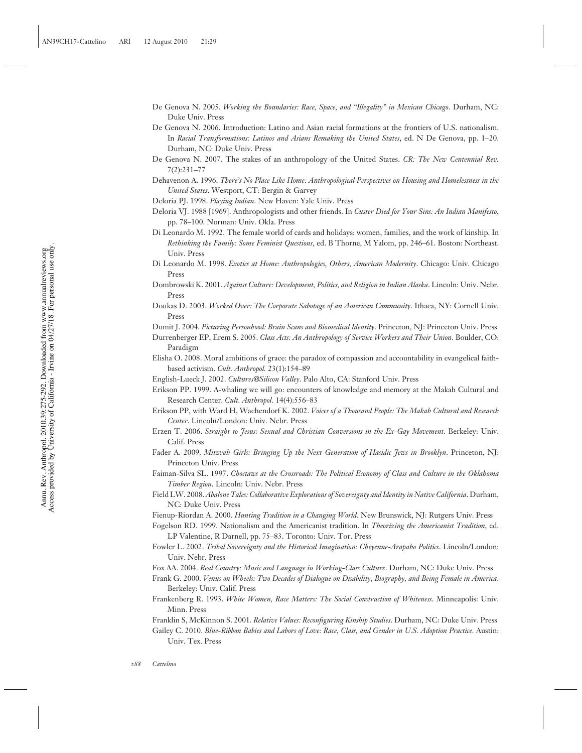- De Genova N. 2005. *Working the Boundaries: Race, Space, and "Illegality" in Mexican Chicago*. Durham, NC: Duke Univ. Press
- De Genova N. 2006. Introduction: Latino and Asian racial formations at the frontiers of U.S. nationalism. In *Racial Transformations: Latinos and Asians Remaking the United States*, ed. N De Genova, pp. 1–20. Durham, NC: Duke Univ. Press
- De Genova N. 2007. The stakes of an anthropology of the United States. *CR: The New Centennial Rev.* 7(2):231–77
- Dehavenon A. 1996. *There's No Place Like Home: Anthropological Perspectives on Housing and Homelessness in the United States*. Westport, CT: Bergin & Garvey
- Deloria PJ. 1998. *Playing Indian*. New Haven: Yale Univ. Press
- Deloria VJ. 1988 [1969]. Anthropologists and other friends. In *Custer Died for Your Sins: An Indian Manifesto*, pp. 78–100. Norman: Univ. Okla. Press
- Di Leonardo M. 1992. The female world of cards and holidays: women, families, and the work of kinship. In *Rethinking the Family: Some Feminist Questions*, ed. B Thorne, M Yalom, pp. 246–61. Boston: Northeast. Univ. Press
- Di Leonardo M. 1998. *Exotics at Home: Anthropologies, Others, American Modernity*. Chicago: Univ. Chicago Press
- Dombrowski K. 2001. *Against Culture: Development, Politics, and Religion in Indian Alaska*. Lincoln: Univ. Nebr. Press
- Doukas D. 2003. *Worked Over: The Corporate Sabotage of an American Community*. Ithaca, NY: Cornell Univ. Press
- Dumit J. 2004. *Picturing Personhood: Brain Scans and Biomedical Identity*. Princeton, NJ: Princeton Univ. Press
- Durrenberger EP, Erem S. 2005. *Class Acts: An Anthropology of Service Workers and Their Union*. Boulder, CO: Paradigm
- Elisha O. 2008. Moral ambitions of grace: the paradox of compassion and accountability in evangelical faithbased activism. *Cult. Anthropol.* 23(1):154–89
- English-Lueck J. 2002. *Cultures@Silicon Valley*. Palo Alto, CA: Stanford Univ. Press
- Erikson PP. 1999. A-whaling we will go: encounters of knowledge and memory at the Makah Cultural and Research Center. *Cult. Anthropol.* 14(4):556–83
- Erikson PP, with Ward H, Wachendorf K. 2002. *Voices of a Thousand People: The Makah Cultural and Research Center*. Lincoln/London: Univ. Nebr. Press
- Erzen T. 2006. *Straight to Jesus: Sexual and Christian Conversions in the Ex-Gay Movement*. Berkeley: Univ. Calif. Press
- Fader A. 2009. *Mitzvah Girls: Bringing Up the Next Generation of Hasidic Jews in Brooklyn*. Princeton, NJ: Princeton Univ. Press
- Faiman-Silva SL. 1997. *Choctaws at the Crossroads: The Political Economy of Class and Culture in the Oklahoma Timber Region*. Lincoln: Univ. Nebr. Press
- Field LW. 2008.*Abalone Tales: Collaborative Explorations of Sovereignty and Identity in Native California*. Durham, NC: Duke Univ. Press
- Fienup-Riordan A. 2000. *Hunting Tradition in a Changing World*. New Brunswick, NJ: Rutgers Univ. Press
- Fogelson RD. 1999. Nationalism and the Americanist tradition. In *Theorizing the Americanist Tradition*, ed. LP Valentine, R Darnell, pp. 75–83. Toronto: Univ. Tor. Press
- Fowler L. 2002. *Tribal Sovereignty and the Historical Imagination: Cheyenne-Arapaho Politics*. Lincoln/London: Univ. Nebr. Press
- Fox AA. 2004. *Real Country: Music and Language in Working-Class Culture*. Durham, NC: Duke Univ. Press
- Frank G. 2000. *Venus on Wheels: Two Decades of Dialogue on Disability, Biography, and Being Female in America*. Berkeley: Univ. Calif. Press
- Frankenberg R. 1993. *White Women, Race Matters: The Social Construction of Whiteness*. Minneapolis: Univ. Minn. Press
- Franklin S, McKinnon S. 2001. *Relative Values: Reconfiguring Kinship Studies*. Durham, NC: Duke Univ. Press
- Gailey C. 2010. *Blue-Ribbon Babies and Labors of Love: Race, Class, and Gender in U.S. Adoption Practice.* Austin: Univ. Tex. Press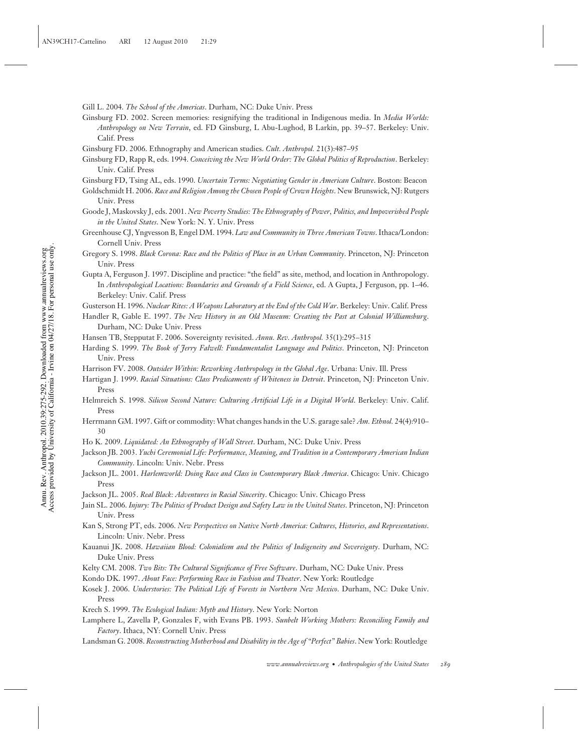Gill L. 2004. *The School of the Americas*. Durham, NC: Duke Univ. Press

Ginsburg FD. 2002. Screen memories: resignifying the traditional in Indigenous media. In *Media Worlds: Anthropology on New Terrain*, ed. FD Ginsburg, L Abu-Lughod, B Larkin, pp. 39–57. Berkeley: Univ. Calif. Press

Ginsburg FD. 2006. Ethnography and American studies. *Cult. Anthropol.* 21(3):487–95

Ginsburg FD, Rapp R, eds. 1994. *Conceiving the New World Order: The Global Politics of Reproduction*. Berkeley: Univ. Calif. Press

Ginsburg FD, Tsing AL, eds. 1990. *Uncertain Terms: Negotiating Gender in American Culture*. Boston: Beacon

- Goldschmidt H. 2006. *Race and Religion Among the Chosen People of Crown Heights*. New Brunswick, NJ: Rutgers Univ. Press
- Goode J, Maskovsky J, eds. 2001. *New Poverty Studies: The Ethnography of Power, Politics, and Impoverished People in the United States*. New York: N. Y. Univ. Press
- Greenhouse CJ, Yngvesson B, Engel DM. 1994. *Law and Community in Three American Towns*. Ithaca/London: Cornell Univ. Press
- Gregory S. 1998. *Black Corona: Race and the Politics of Place in an Urban Community*. Princeton, NJ: Princeton Univ. Press
- Gupta A, Ferguson J. 1997. Discipline and practice: "the field" as site, method, and location in Anthropology. In *Anthropological Locations: Boundaries and Grounds of a Field Science*, ed. A Gupta, J Ferguson, pp. 1–46. Berkeley: Univ. Calif. Press
- Gusterson H. 1996. *Nuclear Rites: A Weapons Laboratory at the End of the Cold War*. Berkeley: Univ. Calif. Press
- Handler R, Gable E. 1997. *The New History in an Old Museum: Creating the Past at Colonial Williamsburg*. Durham, NC: Duke Univ. Press

Hansen TB, Stepputat F. 2006. Sovereignty revisited. *Annu. Rev. Anthropol.* 35(1):295–315

- Harding S. 1999. *The Book of Jerry Falwell: Fundamentalist Language and Politics*. Princeton, NJ: Princeton Univ. Press
- Harrison FV. 2008. *Outsider Within: Reworking Anthropology in the Global Age*. Urbana: Univ. Ill. Press
- Hartigan J. 1999. *Racial Situations: Class Predicaments of Whiteness in Detroit*. Princeton, NJ: Princeton Univ. Press
- Helmreich S. 1998. *Silicon Second Nature: Culturing Artificial Life in a Digital World*. Berkeley: Univ. Calif. Press
- Herrmann GM. 1997. Gift or commodity:What changes hands in the U.S. garage sale? *Am. Ethnol.* 24(4):910– 30
- Ho K. 2009. *Liquidated: An Ethnography of Wall Street*. Durham, NC: Duke Univ. Press
- Jackson JB. 2003. *Yuchi Ceremonial Life: Performance, Meaning, and Tradition in a Contemporary American Indian Community*. Lincoln: Univ. Nebr. Press
- Jackson JL. 2001. *Harlemworld: Doing Race and Class in Contemporary Black America*. Chicago: Univ. Chicago Press

Jackson JL. 2005. *Real Black: Adventures in Racial Sincerity*. Chicago: Univ. Chicago Press

- Jain SL. 2006. *Injury: The Politics of Product Design and Safety Law in the United States*. Princeton, NJ: Princeton Univ. Press
- Kan S, Strong PT, eds. 2006. *New Perspectives on Native North America: Cultures, Histories, and Representations*. Lincoln: Univ. Nebr. Press
- Kauanui JK. 2008. *Hawaiian Blood: Colonialism and the Politics of Indigeneity and Sovereignty*. Durham, NC: Duke Univ. Press
- Kelty CM. 2008. *Two Bits: The Cultural Significance of Free Software*. Durham, NC: Duke Univ. Press
- Kondo DK. 1997. *About Face: Performing Race in Fashion and Theater*. New York: Routledge
- Kosek J. 2006. *Understories: The Political Life of Forests in Northern New Mexico*. Durham, NC: Duke Univ. Press

Krech S. 1999. *The Ecological Indian: Myth and History*. New York: Norton

- Lamphere L, Zavella P, Gonzales F, with Evans PB. 1993. *Sunbelt Working Mothers: Reconciling Family and Factory*. Ithaca, NY: Cornell Univ. Press
- Landsman G. 2008. *Reconstructing Motherhood and Disability in the Age of "Perfect" Babies*. New York: Routledge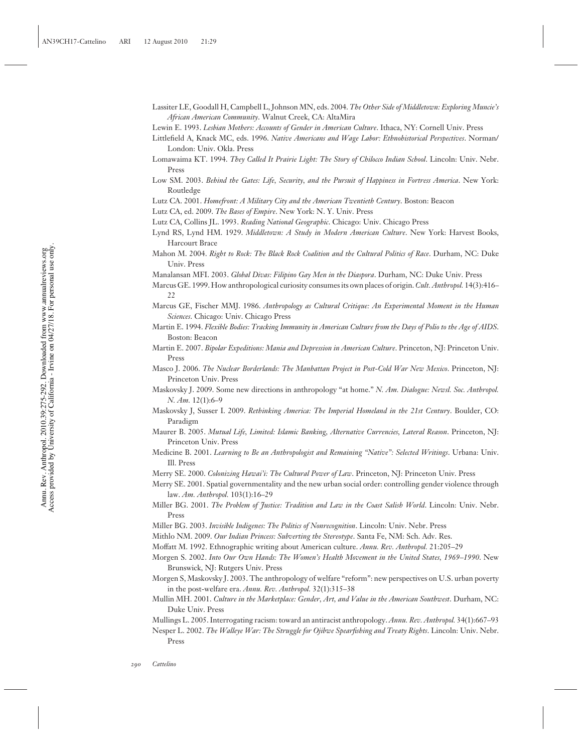- Lassiter LE, Goodall H, Campbell L, Johnson MN, eds. 2004. *The Other Side of Middletown: Exploring Muncie's African American Community*. Walnut Creek, CA: AltaMira
- Lewin E. 1993. *Lesbian Mothers: Accounts of Gender in American Culture*. Ithaca, NY: Cornell Univ. Press
- Littlefield A, Knack MC, eds. 1996. *Native Americans and Wage Labor: Ethnohistorical Perspectives*. Norman/ London: Univ. Okla. Press
- Lomawaima KT. 1994. *They Called It Prairie Light: The Story of Chilocco Indian School*. Lincoln: Univ. Nebr. Press
- Low SM. 2003. *Behind the Gates: Life, Security, and the Pursuit of Happiness in Fortress America*. New York: Routledge
- Lutz CA. 2001. *Homefront: A Military City and the American Twentieth Century*. Boston: Beacon
- Lutz CA, ed. 2009. *The Bases of Empire*. New York: N. Y. Univ. Press
- Lutz CA, Collins JL. 1993. *Reading National Geographic*. Chicago: Univ. Chicago Press
- Lynd RS, Lynd HM. 1929. *Middletown: A Study in Modern American Culture*. New York: Harvest Books, Harcourt Brace
- Mahon M. 2004. *Right to Rock: The Black Rock Coalition and the Cultural Politics of Race*. Durham, NC: Duke Univ. Press

Manalansan MFI. 2003. *Global Divas: Filipino Gay Men in the Diaspora*. Durham, NC: Duke Univ. Press

- Marcus GE. 1999. How anthropological curiosity consumes its own places of origin.*Cult. Anthropol.* 14(3):416– 22
- Marcus GE, Fischer MMJ. 1986. *Anthropology as Cultural Critique: An Experimental Moment in the Human Sciences*. Chicago: Univ. Chicago Press
- Martin E. 1994. *Flexible Bodies: Tracking Immunity in American Culture from the Days of Polio to the Age of AIDS*. Boston: Beacon
- Martin E. 2007. *Bipolar Expeditions: Mania and Depression in American Culture*. Princeton, NJ: Princeton Univ. Press
- Masco J. 2006. *The Nuclear Borderlands: The Manhattan Project in Post-Cold War New Mexico*. Princeton, NJ: Princeton Univ. Press
- Maskovsky J. 2009. Some new directions in anthropology "at home." *N. Am. Dialogue: Newsl. Soc. Anthropol. N. Am.* 12(1):6–9
- Maskovsky J, Susser I. 2009. *Rethinking America: The Imperial Homeland in the 21st Century*. Boulder, CO: Paradigm
- Maurer B. 2005. *Mutual Life, Limited: Islamic Banking, Alternative Currencies, Lateral Reason*. Princeton, NJ: Princeton Univ. Press
- Medicine B. 2001. *Learning to Be an Anthropologist and Remaining "Native": Selected Writings*. Urbana: Univ. Ill. Press
- Merry SE. 2000. *Colonizing Hawai'i: The Cultural Power of Law*. Princeton, NJ: Princeton Univ. Press
- Merry SE. 2001. Spatial governmentality and the new urban social order: controlling gender violence through law. *Am. Anthropol.* 103(1):16–29
- Miller BG. 2001. *The Problem of Justice: Tradition and Law in the Coast Salish World*. Lincoln: Univ. Nebr. Press
- Miller BG. 2003. *Invisible Indigenes: The Politics of Nonrecognition*. Lincoln: Univ. Nebr. Press
- Mithlo NM. 2009. *Our Indian Princess: Subverting the Stereotype*. Santa Fe, NM: Sch. Adv. Res.
- Moffatt M. 1992. Ethnographic writing about American culture. *Annu. Rev. Anthropol.* 21:205–29
- Morgen S. 2002. *Into Our Own Hands: The Women's Health Movement in the United States, 1969–1990*. New Brunswick, NJ: Rutgers Univ. Press
- Morgen S, Maskovsky J. 2003. The anthropology of welfare "reform": new perspectives on U.S. urban poverty in the post-welfare era. *Annu. Rev. Anthropol.* 32(1):315–38

Mullin MH. 2001. *Culture in the Marketplace: Gender, Art, and Value in the American Southwest*. Durham, NC: Duke Univ. Press

Mullings L. 2005. Interrogating racism: toward an antiracist anthropology. *Annu. Rev. Anthropol.* 34(1):667–93

Nesper L. 2002. *The Walleye War: The Struggle for Ojibwe Spearfishing and Treaty Rights*. Lincoln: Univ. Nebr. Press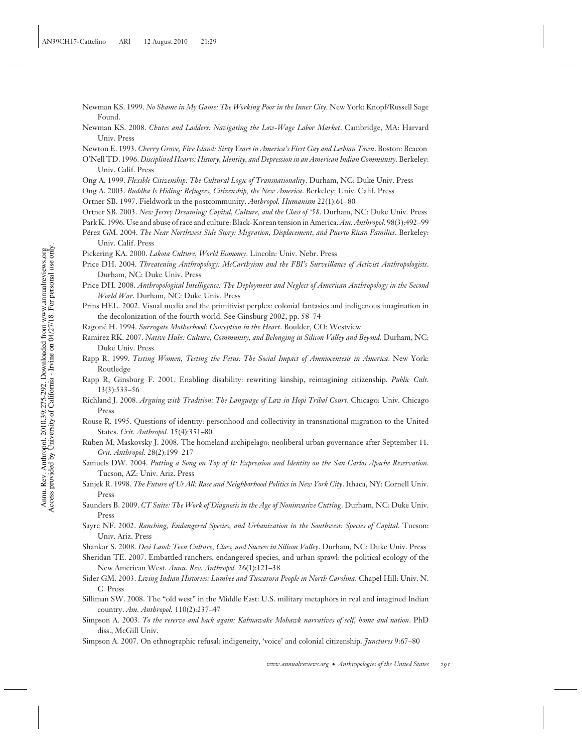- Newman KS. 1999. *No Shame in My Game: The Working Poor in the Inner City*. New York: Knopf/Russell Sage Found.
- Newman KS. 2008. *Chutes and Ladders: Navigating the Low-Wage Labor Market*. Cambridge, MA: Harvard Univ. Press
- Newton E. 1993. *Cherry Grove, Fire Island: Sixty Years in America's First Gay and Lesbian Town*. Boston: Beacon
- O'Nell TD. 1996. *Disciplined Hearts: History, Identity, and Depression in an American Indian Community*. Berkeley: Univ. Calif. Press
- Ong A. 1999. *Flexible Citizenship: The Cultural Logic of Transnationality*. Durham, NC: Duke Univ. Press
- Ong A. 2003. *Buddha Is Hiding: Refugees, Citizenship, the New America*. Berkeley: Univ. Calif. Press

Ortner SB. 1997. Fieldwork in the postcommunity. *Anthropol. Humanism* 22(1):61–80

Ortner SB. 2003. *New Jersey Dreaming: Capital, Culture, and the Class of '58*. Durham, NC: Duke Univ. Press

Park K. 1996. Use and abuse of race and culture: Black-Korean tension in America.*Am. Anthropol.* 98(3):492–99

- Pérez GM. 2004. The Near Northwest Side Story: Migration, Displacement, and Puerto Rican Families. Berkeley: Univ. Calif. Press
- Pickering KA. 2000. *Lakota Culture, World Economy*. Lincoln: Univ. Nebr. Press
- Price DH. 2004. *Threatening Anthropology: McCarthyism and the FBI's Surveillance of Activist Anthropologists*. Durham, NC: Duke Univ. Press
- Price DH. 2008. *Anthropological Intelligence: The Deployment and Neglect of American Anthropology in the Second World War*. Durham, NC: Duke Univ. Press
- Prins HEL. 2002. Visual media and the primitivist perplex: colonial fantasies and indigenous imagination in the decolonization of the fourth world. See Ginsburg 2002, pp. 58–74

Ragoné H. 1994. Surrogate Motherhood: Conception in the Heart. Boulder, CO: Westview

- Ramirez RK. 2007. *Native Hubs: Culture, Community, and Belonging in Silicon Valley and Beyond*. Durham, NC: Duke Univ. Press
- Rapp R. 1999. *Testing Women, Testing the Fetus: The Social Impact of Amniocentesis in America*. New York: Routledge
- Rapp R, Ginsburg F. 2001. Enabling disability: rewriting kinship, reimagining citizenship. *Public Cult.* 13(3):533–56
- Richland J. 2008. *Arguing with Tradition: The Language of Law in Hopi Tribal Court*. Chicago: Univ. Chicago Press
- Rouse R. 1995. Questions of identity: personhood and collectivity in transnational migration to the United States. *Crit. Anthropol.* 15(4):351–80
- Ruben M, Maskovsky J. 2008. The homeland archipelago: neoliberal urban governance after September 11. *Crit. Anthropol.* 28(2):199–217
- Samuels DW. 2004. *Putting a Song on Top of It: Expression and Identity on the San Carlos Apache Reservation*. Tucson, AZ: Univ. Ariz. Press
- Sanjek R. 1998. *The Future of Us All: Race and Neighborhood Politics in New York City*. Ithaca, NY: Cornell Univ. Press
- Saunders B. 2009. *CT Suite: The Work of Diagnosis in the Age of Noninvasive Cutting*. Durham, NC: Duke Univ. Press
- Sayre NF. 2002. *Ranching, Endangered Species, and Urbanization in the Southwest: Species of Capital*. Tucson: Univ. Ariz. Press

Shankar S. 2008. *Desi Land: Teen Culture, Class, and Success in Silicon Valley*. Durham, NC: Duke Univ. Press

- Sheridan TE. 2007. Embattled ranchers, endangered species, and urban sprawl: the political ecology of the New American West. *Annu. Rev. Anthropol.* 26(1):121–38
- Sider GM. 2003. *Living Indian Histories: Lumbee and Tuscarora People in North Carolina*. Chapel Hill: Univ. N. C. Press
- Silliman SW. 2008. The "old west" in the Middle East: U.S. military metaphors in real and imagined Indian country. *Am. Anthropol.* 110(2):237–47
- Simpson A. 2003. *To the reserve and back again: Kahnawake Mohawk narratives of self, home and nation*. PhD diss., McGill Univ.
- Simpson A. 2007. On ethnographic refusal: indigeneity, 'voice' and colonial citizenship. *Junctures* 9:67–80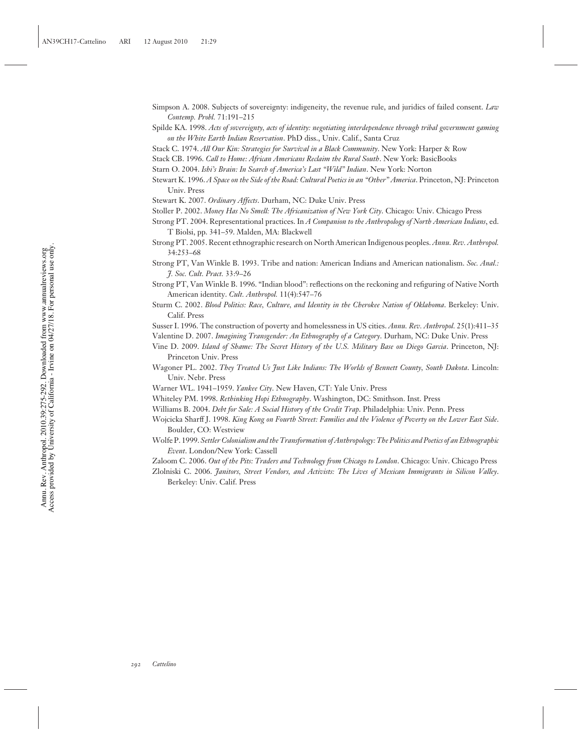- Simpson A. 2008. Subjects of sovereignty: indigeneity, the revenue rule, and juridics of failed consent. *Law Contemp. Probl.* 71:191–215
- Spilde KA. 1998. *Acts of sovereignty, acts of identity: negotiating interdependence through tribal government gaming on the White Earth Indian Reservation*. PhD diss., Univ. Calif., Santa Cruz

Stack C. 1974. *All Our Kin: Strategies for Survival in a Black Community*. New York: Harper & Row

- Stewart K. 2007. *Ordinary Affects*. Durham, NC: Duke Univ. Press
- Stoller P. 2002. *Money Has No Smell: The Africanization of New York City*. Chicago: Univ. Chicago Press
- Strong PT. 2004. Representational practices. In *A Companion to the Anthropology of North American Indians*, ed. T Biolsi, pp. 341–59. Malden, MA: Blackwell
- Strong PT. 2005. Recent ethnographic research on North American Indigenous peoples. *Annu. Rev. Anthropol.* 34:253–68
- Strong PT, Van Winkle B. 1993. Tribe and nation: American Indians and American nationalism. *Soc. Anal.: J. Soc. Cult. Pract.* 33:9–26
- Strong PT, Van Winkle B. 1996. "Indian blood": reflections on the reckoning and refiguring of Native North American identity. *Cult. Anthropol.* 11(4):547–76
- Sturm C. 2002. *Blood Politics: Race, Culture, and Identity in the Cherokee Nation of Oklahoma*. Berkeley: Univ. Calif. Press

Susser I. 1996. The construction of poverty and homelessness in US cities. *Annu. Rev. Anthropol.* 25(1):411–35

Valentine D. 2007. *Imagining Transgender: An Ethnography of a Category*. Durham, NC: Duke Univ. Press

- Vine D. 2009. *Island of Shame: The Secret History of the U.S. Military Base on Diego Garcia*. Princeton, NJ: Princeton Univ. Press
- Wagoner PL. 2002. *They Treated Us Just Like Indians: The Worlds of Bennett County, South Dakota*. Lincoln: Univ. Nebr. Press
- Warner WL. 1941–1959. *Yankee City*. New Haven, CT: Yale Univ. Press
- Whiteley PM. 1998. *Rethinking Hopi Ethnography*. Washington, DC: Smithson. Inst. Press
- Williams B. 2004. *Debt for Sale: A Social History of the Credit Trap*. Philadelphia: Univ. Penn. Press
- Wojcicka Sharff J. 1998. *King Kong on Fourth Street: Families and the Violence of Poverty on the Lower East Side*. Boulder, CO: Westview
- Wolfe P. 1999. *Settler Colonialism and the Transformation of Anthropology: The Politics and Poetics of an Ethnographic Event*. London/New York: Cassell

Zaloom C. 2006. *Out of the Pits: Traders and Technology from Chicago to London*. Chicago: Univ. Chicago Press

Zlolniski C. 2006. *Janitors, Street Vendors, and Activists: The Lives of Mexican Immigrants in Silicon Valley*. Berkeley: Univ. Calif. Press

Stack CB. 1996. *Call to Home: African Americans Reclaim the Rural South*. New York: BasicBooks

Starn O. 2004. *Ishi's Brain: In Search of America's Last "Wild" Indian*. New York: Norton

Stewart K. 1996. *A Space on the Side of the Road: Cultural Poetics in an "Other" America*. Princeton, NJ: Princeton Univ. Press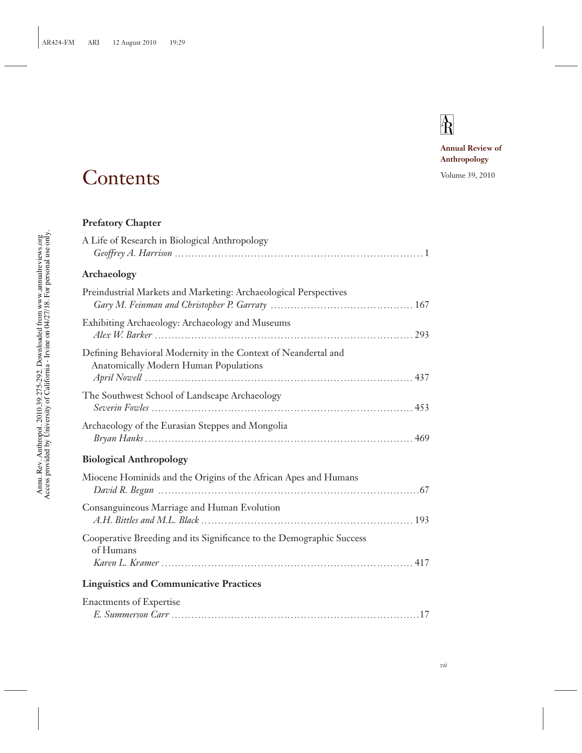# $\mathbf{\hat{R}}$

**Annual Review of Anthropology**

# Contents Volume 39, 2010

# **Prefatory Chapter**

| A Life of Research in Biological Anthropology                                                           |
|---------------------------------------------------------------------------------------------------------|
| Archaeology                                                                                             |
| Preindustrial Markets and Marketing: Archaeological Perspectives                                        |
| Exhibiting Archaeology: Archaeology and Museums                                                         |
| Defining Behavioral Modernity in the Context of Neandertal and<br>Anatomically Modern Human Populations |
| The Southwest School of Landscape Archaeology                                                           |
| Archaeology of the Eurasian Steppes and Mongolia                                                        |
| <b>Biological Anthropology</b>                                                                          |
| Miocene Hominids and the Origins of the African Apes and Humans                                         |
| Consanguineous Marriage and Human Evolution                                                             |
| Cooperative Breeding and its Significance to the Demographic Success<br>of Humans                       |
| <b>Linguistics and Communicative Practices</b>                                                          |
| <b>Enactments of Expertise</b>                                                                          |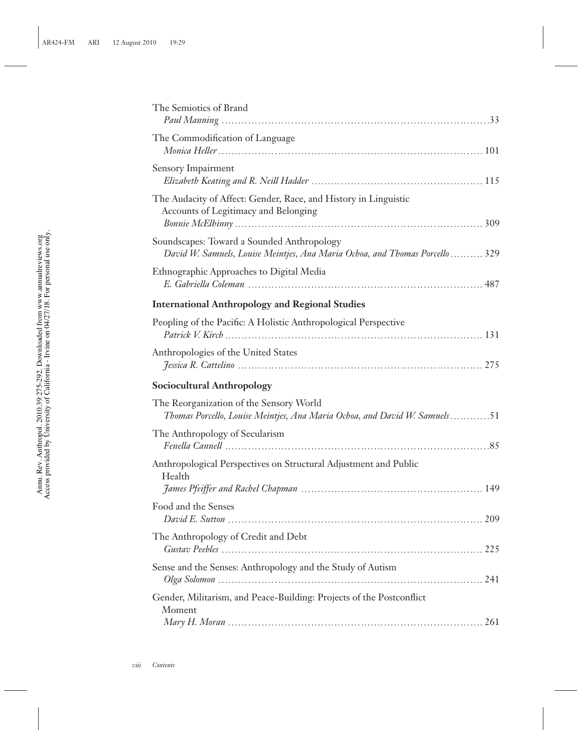| The Semiotics of Brand                                                                                                     |
|----------------------------------------------------------------------------------------------------------------------------|
| The Commodification of Language                                                                                            |
| <b>Sensory Impairment</b>                                                                                                  |
| The Audacity of Affect: Gender, Race, and History in Linguistic<br>Accounts of Legitimacy and Belonging                    |
| Soundscapes: Toward a Sounded Anthropology<br>David W. Samuels, Louise Meintjes, Ana Maria Ochoa, and Thomas Porcello  329 |
| Ethnographic Approaches to Digital Media                                                                                   |
| <b>International Anthropology and Regional Studies</b>                                                                     |
| Peopling of the Pacific: A Holistic Anthropological Perspective                                                            |
| Anthropologies of the United States                                                                                        |
|                                                                                                                            |
| <b>Sociocultural Anthropology</b>                                                                                          |
| The Reorganization of the Sensory World<br>Thomas Porcello, Louise Meintjes, Ana Maria Ochoa, and David W. Samuels 51      |
| The Anthropology of Secularism                                                                                             |
| Anthropological Perspectives on Structural Adjustment and Public<br>Health                                                 |
| Food and the Senses                                                                                                        |
| The Anthropology of Credit and Debt                                                                                        |
| Sense and the Senses: Anthropology and the Study of Autism                                                                 |
| Gender, Militarism, and Peace-Building: Projects of the Postconflict<br>Moment                                             |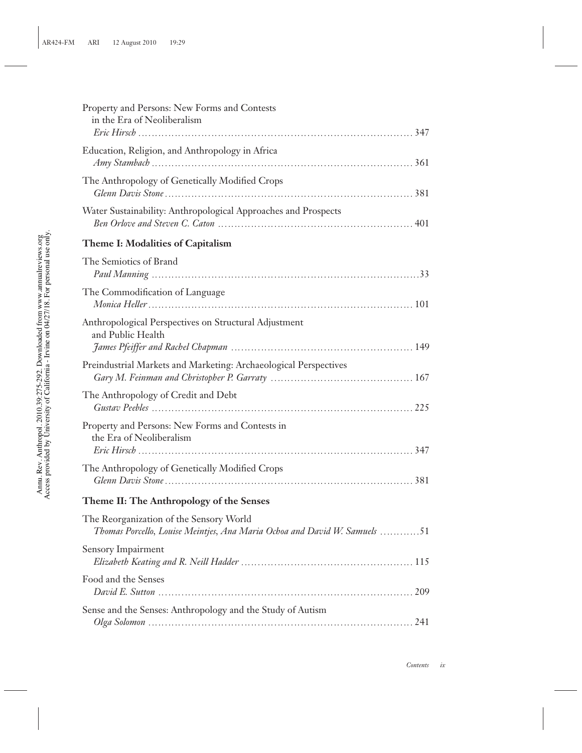| Property and Persons: New Forms and Contests<br>in the Era of Neoliberalism                                          |
|----------------------------------------------------------------------------------------------------------------------|
| Education, Religion, and Anthropology in Africa                                                                      |
| The Anthropology of Genetically Modified Crops                                                                       |
| Water Sustainability: Anthropological Approaches and Prospects                                                       |
| Theme I: Modalities of Capitalism                                                                                    |
| The Semiotics of Brand                                                                                               |
| The Commodification of Language                                                                                      |
| Anthropological Perspectives on Structural Adjustment<br>and Public Health                                           |
| Preindustrial Markets and Marketing: Archaeological Perspectives                                                     |
| The Anthropology of Credit and Debt                                                                                  |
| Property and Persons: New Forms and Contests in<br>the Era of Neoliberalism                                          |
| The Anthropology of Genetically Modified Crops                                                                       |
| Theme II: The Anthropology of the Senses                                                                             |
| The Reorganization of the Sensory World<br>Thomas Porcello, Louise Meintjes, Ana Maria Ochoa and David W. Samuels 51 |
| Sensory Impairment                                                                                                   |
| Food and the Senses                                                                                                  |
| Sense and the Senses: Anthropology and the Study of Autism                                                           |